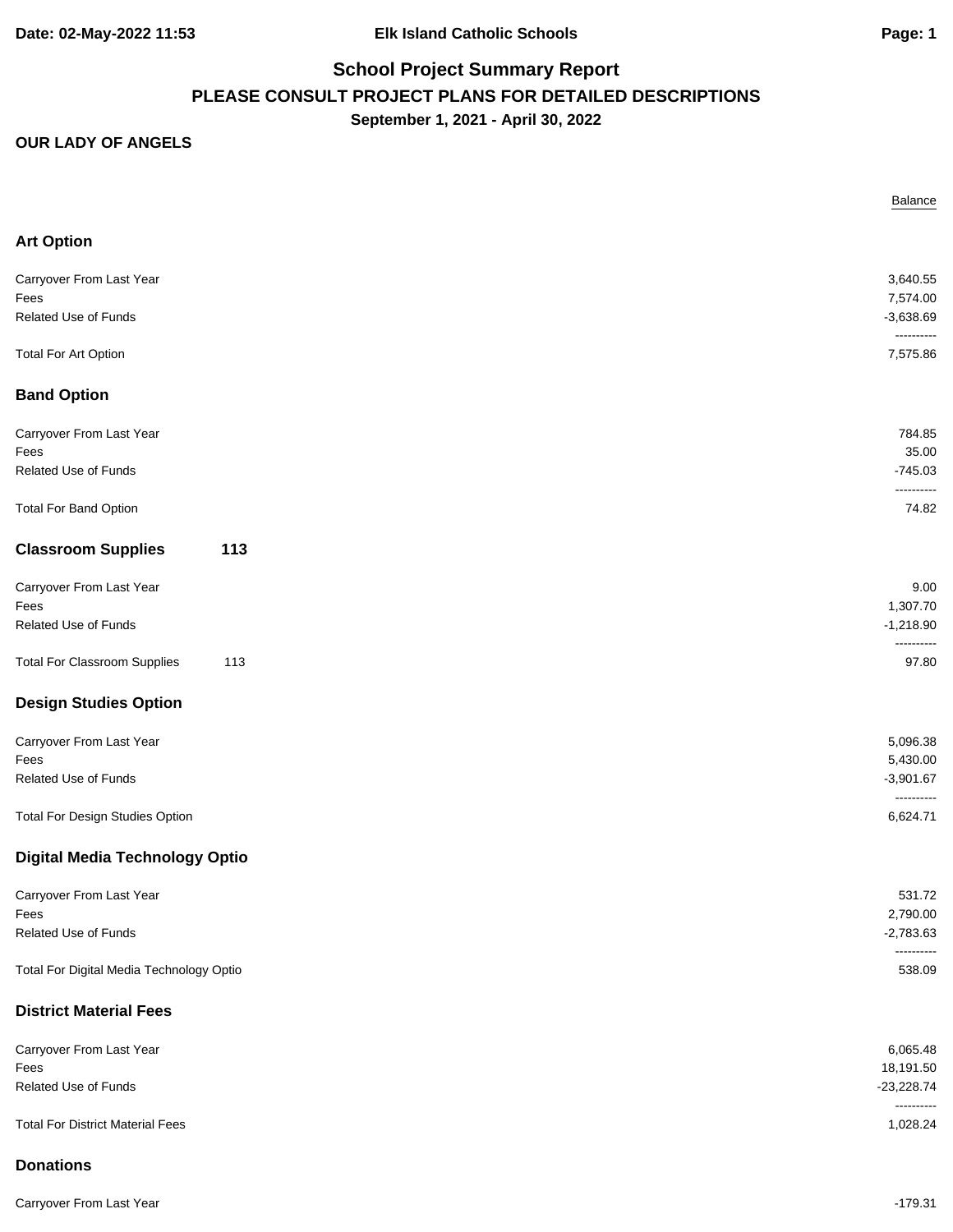#### **OUR LADY OF ANGELS**

|                                            | Balance                    |
|--------------------------------------------|----------------------------|
| <b>Art Option</b>                          |                            |
| Carryover From Last Year                   | 3,640.55                   |
| Fees                                       | 7,574.00                   |
| Related Use of Funds                       | $-3,638.69$<br>----------  |
| <b>Total For Art Option</b>                | 7,575.86                   |
| <b>Band Option</b>                         |                            |
| Carryover From Last Year                   | 784.85                     |
| Fees                                       | 35.00                      |
| Related Use of Funds                       | $-745.03$                  |
| <b>Total For Band Option</b>               | ----------<br>74.82        |
| <b>Classroom Supplies</b><br>113           |                            |
| Carryover From Last Year                   | 9.00                       |
| Fees                                       | 1,307.70                   |
| Related Use of Funds                       | $-1,218.90$                |
| <b>Total For Classroom Supplies</b><br>113 | ----------<br>97.80        |
| <b>Design Studies Option</b>               |                            |
| Carryover From Last Year                   | 5,096.38                   |
| Fees                                       | 5,430.00                   |
| Related Use of Funds                       | $-3,901.67$<br>----------  |
| Total For Design Studies Option            | 6,624.71                   |
| <b>Digital Media Technology Optio</b>      |                            |
| Carryover From Last Year                   | 531.72                     |
| Fees                                       | 2,790.00                   |
| <b>Related Use of Funds</b>                | $-2,783.63$<br>----------  |
| Total For Digital Media Technology Optio   | 538.09                     |
| <b>District Material Fees</b>              |                            |
| Carryover From Last Year                   | 6,065.48                   |
| Fees                                       | 18,191.50                  |
| Related Use of Funds                       | $-23,228.74$<br>---------- |
| <b>Total For District Material Fees</b>    | 1,028.24                   |
| <b>Donations</b>                           |                            |

Carryover From Last Year -179.31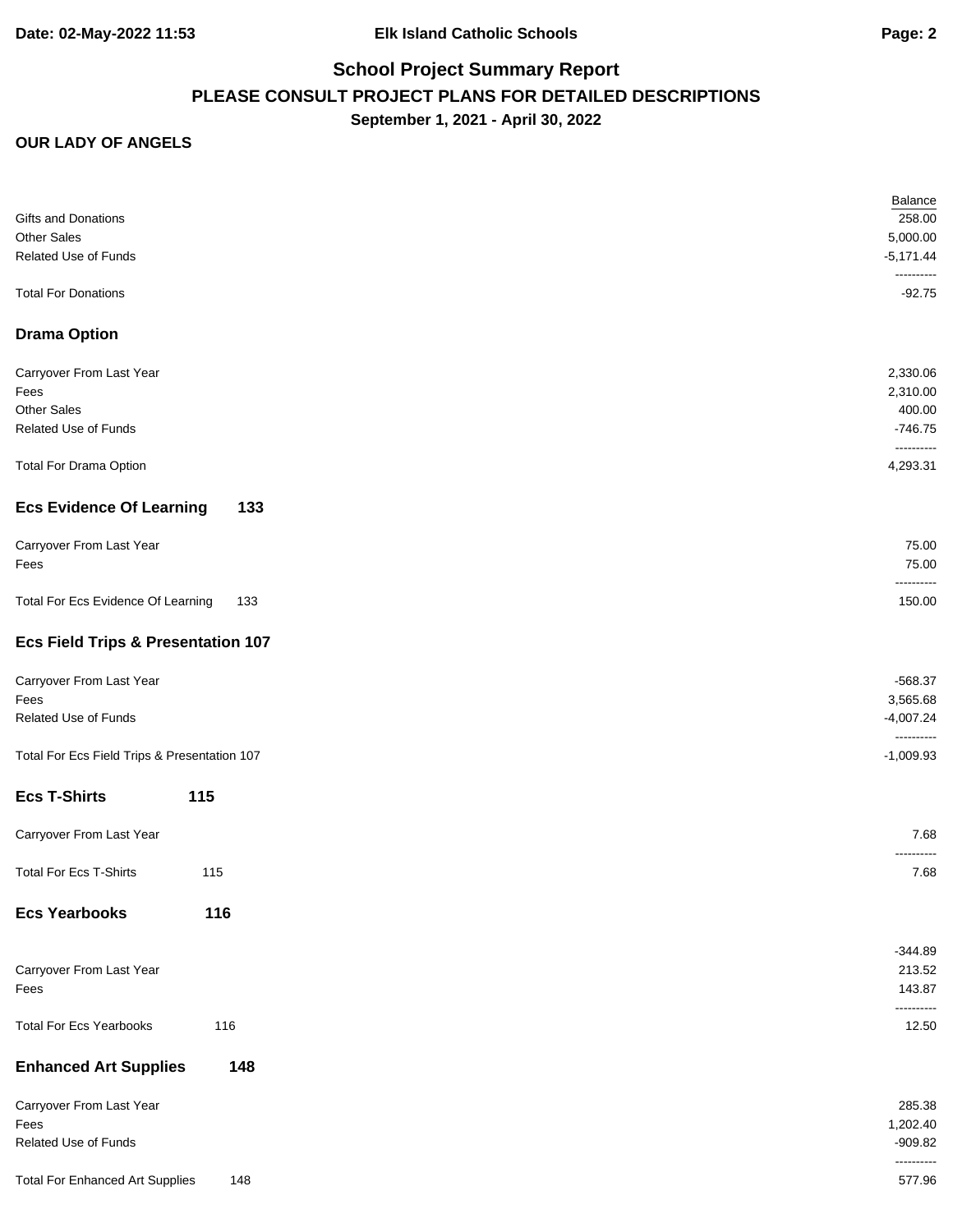|                                               | <b>Balance</b>            |
|-----------------------------------------------|---------------------------|
| <b>Gifts and Donations</b>                    | 258.00                    |
| <b>Other Sales</b>                            | 5,000.00                  |
| Related Use of Funds                          | $-5,171.44$<br>---------- |
| <b>Total For Donations</b>                    | $-92.75$                  |
| <b>Drama Option</b>                           |                           |
| Carryover From Last Year                      | 2,330.06                  |
| Fees                                          | 2,310.00                  |
| <b>Other Sales</b>                            | 400.00                    |
| Related Use of Funds                          | $-746.75$                 |
|                                               | ----------                |
| <b>Total For Drama Option</b>                 | 4,293.31                  |
| <b>Ecs Evidence Of Learning</b><br>133        |                           |
| Carryover From Last Year                      | 75.00                     |
| Fees                                          | 75.00                     |
|                                               | ----------                |
| Total For Ecs Evidence Of Learning<br>133     | 150.00                    |
| <b>Ecs Field Trips &amp; Presentation 107</b> |                           |
| Carryover From Last Year                      | $-568.37$                 |
| Fees                                          | 3,565.68                  |
| Related Use of Funds                          | $-4,007.24$               |
|                                               | ----------                |
| Total For Ecs Field Trips & Presentation 107  | $-1,009.93$               |
| <b>Ecs T-Shirts</b><br>115                    |                           |
| Carryover From Last Year                      | 7.68                      |
|                                               |                           |
| <b>Total For Ecs T-Shirts</b><br>115          | 7.68                      |
| <b>Ecs Yearbooks</b><br>116                   |                           |
|                                               | $-344.89$                 |
| Carryover From Last Year                      | 213.52                    |
| Fees                                          | 143.87                    |
|                                               | ----------                |
| <b>Total For Ecs Yearbooks</b><br>116         | 12.50                     |
| <b>Enhanced Art Supplies</b><br>148           |                           |
| Carryover From Last Year                      | 285.38                    |
| Fees                                          | 1,202.40                  |
| Related Use of Funds                          | $-909.82$                 |
|                                               | ----------                |
| <b>Total For Enhanced Art Supplies</b><br>148 | 577.96                    |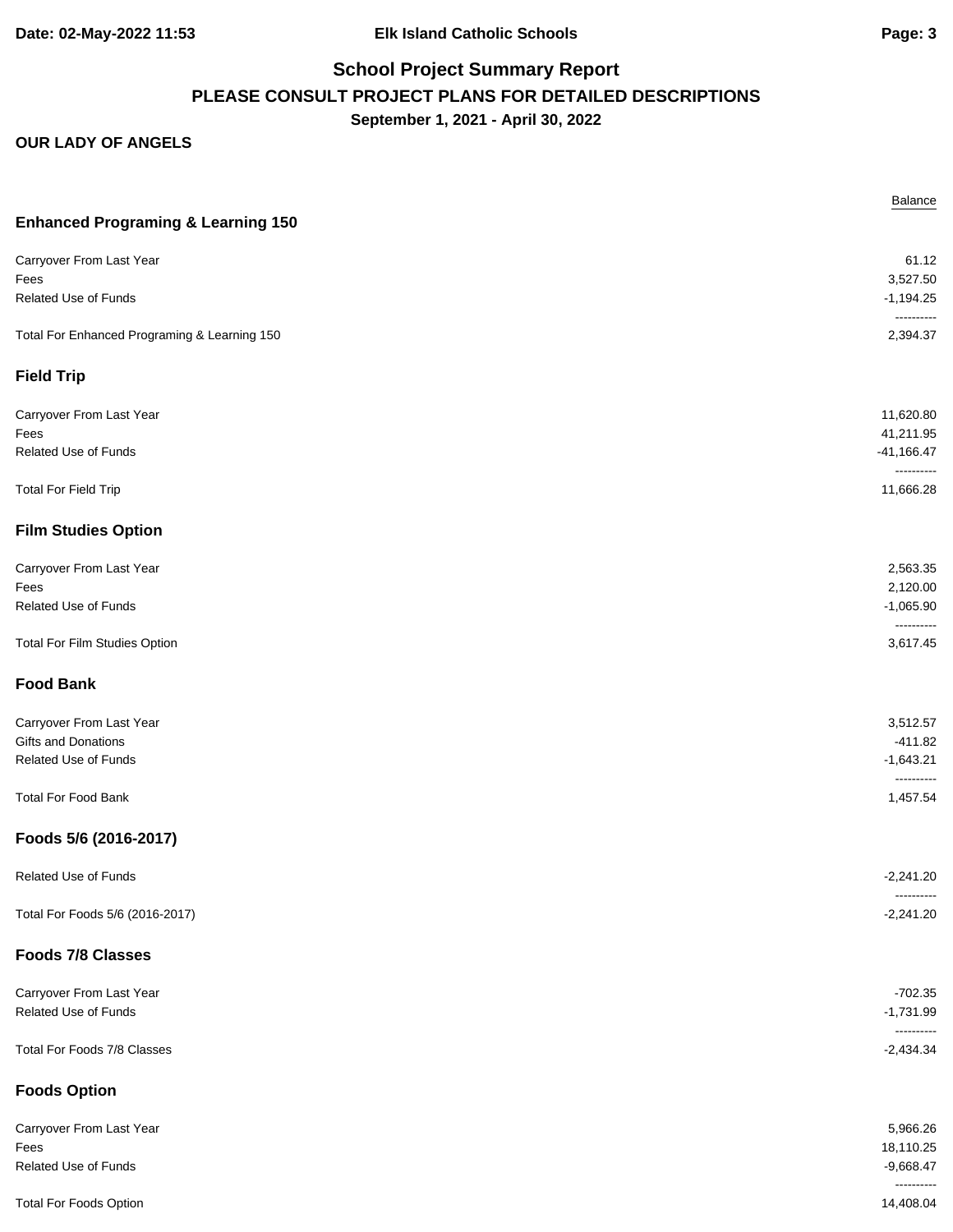|                                               | Balance                    |
|-----------------------------------------------|----------------------------|
| <b>Enhanced Programing &amp; Learning 150</b> |                            |
| Carryover From Last Year                      | 61.12                      |
| Fees                                          | 3,527.50                   |
| Related Use of Funds                          | $-1,194.25$<br>----------  |
| Total For Enhanced Programing & Learning 150  | 2,394.37                   |
| <b>Field Trip</b>                             |                            |
| Carryover From Last Year                      | 11,620.80                  |
| Fees                                          | 41,211.95                  |
| Related Use of Funds                          | $-41,166.47$<br>---------- |
| <b>Total For Field Trip</b>                   | 11,666.28                  |
| <b>Film Studies Option</b>                    |                            |
| Carryover From Last Year                      | 2,563.35                   |
| Fees                                          | 2,120.00                   |
| Related Use of Funds                          | $-1,065.90$<br>----------  |
| Total For Film Studies Option                 | 3,617.45                   |
| <b>Food Bank</b>                              |                            |
| Carryover From Last Year                      | 3,512.57                   |
| Gifts and Donations                           | $-411.82$                  |
| Related Use of Funds                          | $-1,643.21$<br>----------  |
| <b>Total For Food Bank</b>                    | 1,457.54                   |
| Foods 5/6 (2016-2017)                         |                            |
| Related Use of Funds                          | $-2,241.20$                |
| Total For Foods 5/6 (2016-2017)               | ----------<br>$-2,241.20$  |
| <b>Foods 7/8 Classes</b>                      |                            |
| Carryover From Last Year                      | $-702.35$                  |
| Related Use of Funds                          | $-1,731.99$                |
| Total For Foods 7/8 Classes                   | ----------<br>$-2,434.34$  |
| <b>Foods Option</b>                           |                            |
| Carryover From Last Year                      | 5,966.26                   |
| Fees                                          | 18,110.25                  |
| Related Use of Funds                          | $-9,668.47$                |
| <b>Total For Foods Option</b>                 | ----------<br>14,408.04    |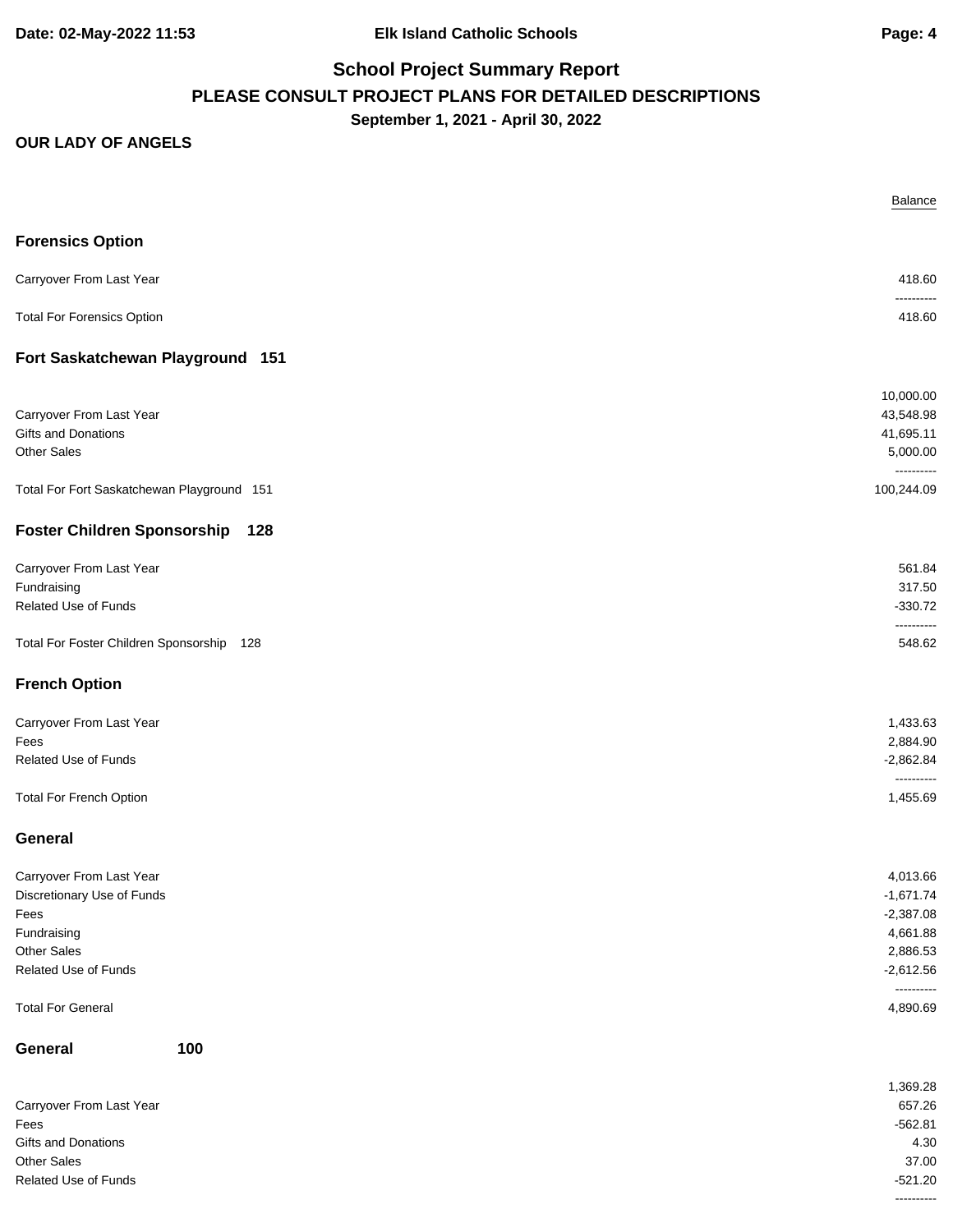**Date: 02-May-2022 11:53 Elk Island Catholic Schools Page: 4**

# **School Project Summary Report PLEASE CONSULT PROJECT PLANS FOR DETAILED DESCRIPTIONS September 1, 2021 - April 30, 2022**

|                                            | Balance                   |
|--------------------------------------------|---------------------------|
| <b>Forensics Option</b>                    |                           |
| Carryover From Last Year                   | 418.60                    |
| <b>Total For Forensics Option</b>          | ----------<br>418.60      |
| Fort Saskatchewan Playground 151           |                           |
|                                            | 10,000.00                 |
| Carryover From Last Year                   | 43,548.98                 |
| Gifts and Donations<br><b>Other Sales</b>  | 41,695.11<br>5,000.00     |
|                                            | ----------                |
| Total For Fort Saskatchewan Playground 151 | 100,244.09                |
| <b>Foster Children Sponsorship</b><br>128  |                           |
| Carryover From Last Year                   | 561.84                    |
| Fundraising                                | 317.50                    |
| <b>Related Use of Funds</b>                | $-330.72$                 |
| Total For Foster Children Sponsorship 128  | ----------<br>548.62      |
| <b>French Option</b>                       |                           |
| Carryover From Last Year                   | 1,433.63                  |
| Fees                                       | 2,884.90                  |
| <b>Related Use of Funds</b>                | $-2,862.84$<br>---------- |
| <b>Total For French Option</b>             | 1,455.69                  |
| General                                    |                           |
| Carryover From Last Year                   | 4,013.66                  |
| Discretionary Use of Funds                 | $-1,671.74$               |
| Fees                                       | $-2,387.08$               |
| Fundraising<br>Other Sales                 | 4,661.88<br>2,886.53      |
| Related Use of Funds                       | $-2,612.56$               |
|                                            | ----------                |
| <b>Total For General</b>                   | 4,890.69                  |
| General<br>100                             |                           |
|                                            | 1,369.28                  |
| Carryover From Last Year                   | 657.26                    |
| Fees                                       | $-562.81$                 |
| Gifts and Donations                        | 4.30                      |
| Other Sales<br>Related Use of Funds        | 37.00<br>$-521.20$        |
|                                            | ----------                |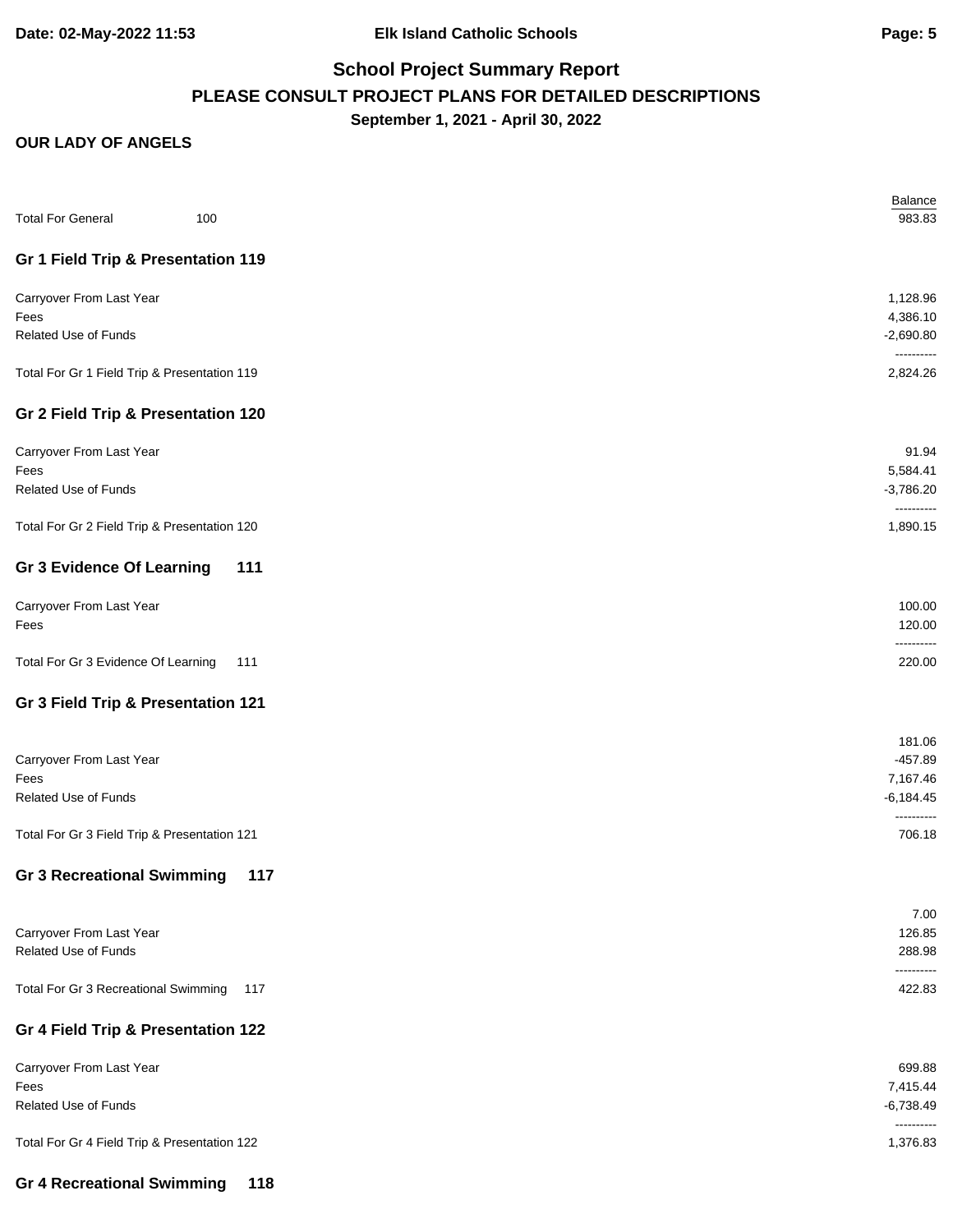| <b>Total For General</b><br>100              | Balance<br>983.83         |
|----------------------------------------------|---------------------------|
| Gr 1 Field Trip & Presentation 119           |                           |
| Carryover From Last Year                     | 1,128.96                  |
| Fees                                         | 4,386.10                  |
| Related Use of Funds                         | $-2,690.80$<br>---------- |
| Total For Gr 1 Field Trip & Presentation 119 | 2,824.26                  |
| Gr 2 Field Trip & Presentation 120           |                           |
| Carryover From Last Year                     | 91.94                     |
| Fees                                         | 5,584.41                  |
| Related Use of Funds                         | $-3,786.20$<br>---------- |
| Total For Gr 2 Field Trip & Presentation 120 | 1,890.15                  |
| <b>Gr 3 Evidence Of Learning</b><br>111      |                           |
| Carryover From Last Year                     | 100.00                    |
| Fees                                         | 120.00                    |
| Total For Gr 3 Evidence Of Learning<br>111   | ----------<br>220.00      |
| Gr 3 Field Trip & Presentation 121           |                           |
|                                              | 181.06                    |
| Carryover From Last Year                     | $-457.89$                 |
| Fees                                         | 7,167.46                  |
| <b>Related Use of Funds</b>                  | $-6,184.45$               |
| Total For Gr 3 Field Trip & Presentation 121 | 706.18                    |
| <b>Gr 3 Recreational Swimming</b><br>117     |                           |
|                                              | 7.00                      |
| Carryover From Last Year                     | 126.85                    |
| Related Use of Funds                         | 288.98<br>.               |
| Total For Gr 3 Recreational Swimming<br>117  | 422.83                    |
| Gr 4 Field Trip & Presentation 122           |                           |
| Carryover From Last Year                     | 699.88                    |
| Fees                                         | 7,415.44                  |
| <b>Related Use of Funds</b>                  | $-6,738.49$<br>---------- |
| Total For Gr 4 Field Trip & Presentation 122 | 1,376.83                  |
| <b>Gr 4 Recreational Swimming</b><br>118     |                           |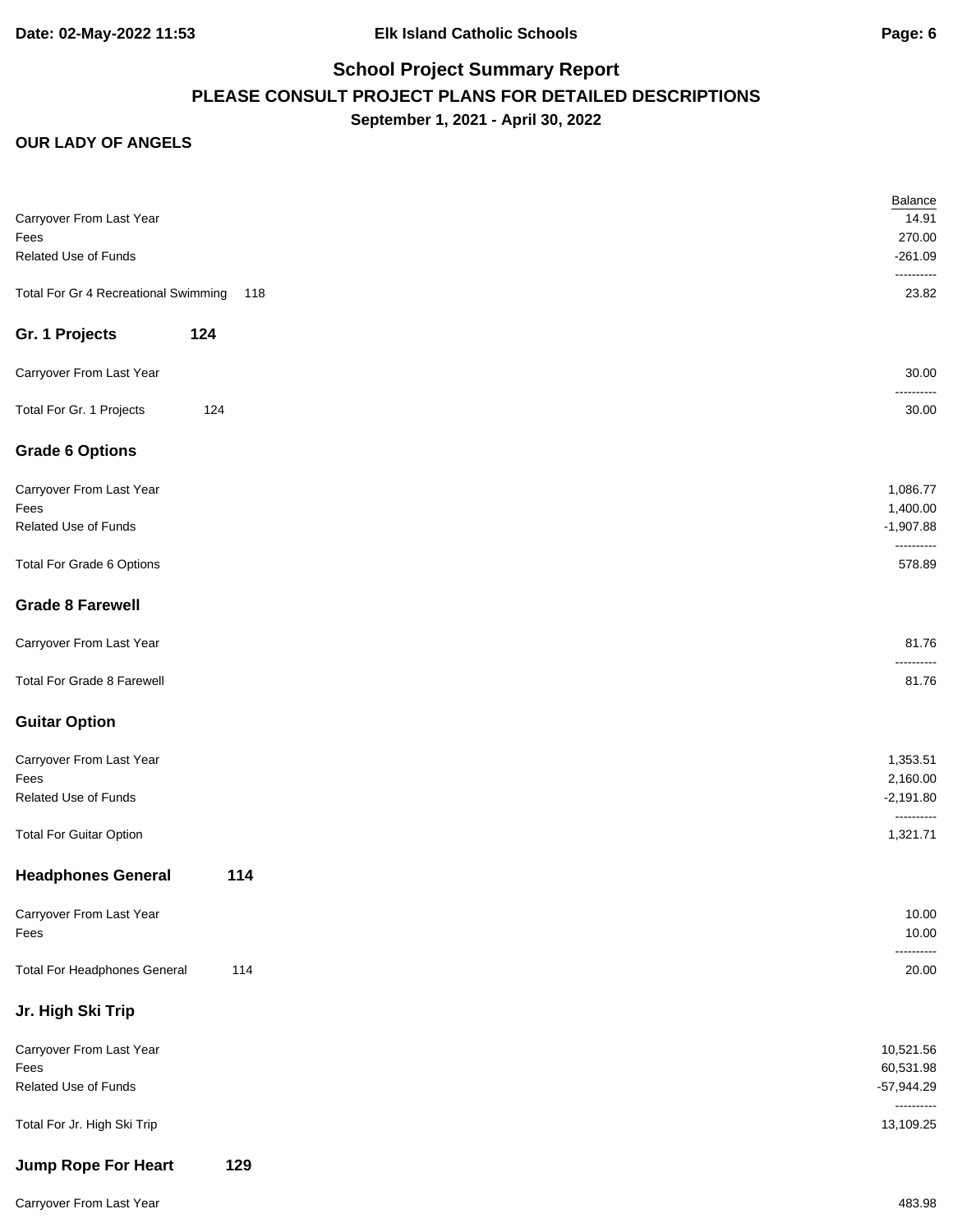#### **OUR LADY OF ANGELS**

| Carryover From Last Year             |     | Balance<br>14.91           |
|--------------------------------------|-----|----------------------------|
| Fees                                 |     | 270.00                     |
| Related Use of Funds                 |     | $-261.09$<br>----------    |
| Total For Gr 4 Recreational Swimming | 118 | 23.82                      |
| Gr. 1 Projects                       | 124 |                            |
| Carryover From Last Year             |     | 30.00<br>----------        |
| Total For Gr. 1 Projects             | 124 | 30.00                      |
| <b>Grade 6 Options</b>               |     |                            |
| Carryover From Last Year             |     | 1,086.77                   |
| Fees                                 |     | 1,400.00                   |
| Related Use of Funds                 |     | $-1,907.88$<br>----------  |
| Total For Grade 6 Options            |     | 578.89                     |
| <b>Grade 8 Farewell</b>              |     |                            |
| Carryover From Last Year             |     | 81.76<br>--------          |
| Total For Grade 8 Farewell           |     | 81.76                      |
| <b>Guitar Option</b>                 |     |                            |
| Carryover From Last Year             |     | 1,353.51                   |
| Fees                                 |     | 2,160.00                   |
| Related Use of Funds                 |     | $-2,191.80$<br>----------  |
| <b>Total For Guitar Option</b>       |     | 1,321.71                   |
| <b>Headphones General</b>            | 114 |                            |
| Carryover From Last Year             |     | 10.00                      |
| Fees                                 |     | 10.00                      |
| <b>Total For Headphones General</b>  | 114 | ----------<br>20.00        |
| Jr. High Ski Trip                    |     |                            |
| Carryover From Last Year             |     | 10,521.56                  |
| Fees                                 |     | 60,531.98                  |
| Related Use of Funds                 |     | $-57,944.29$<br>---------- |
| Total For Jr. High Ski Trip          |     | 13,109.25                  |
| <b>Jump Rope For Heart</b>           | 129 |                            |

Carryover From Last Year 483.98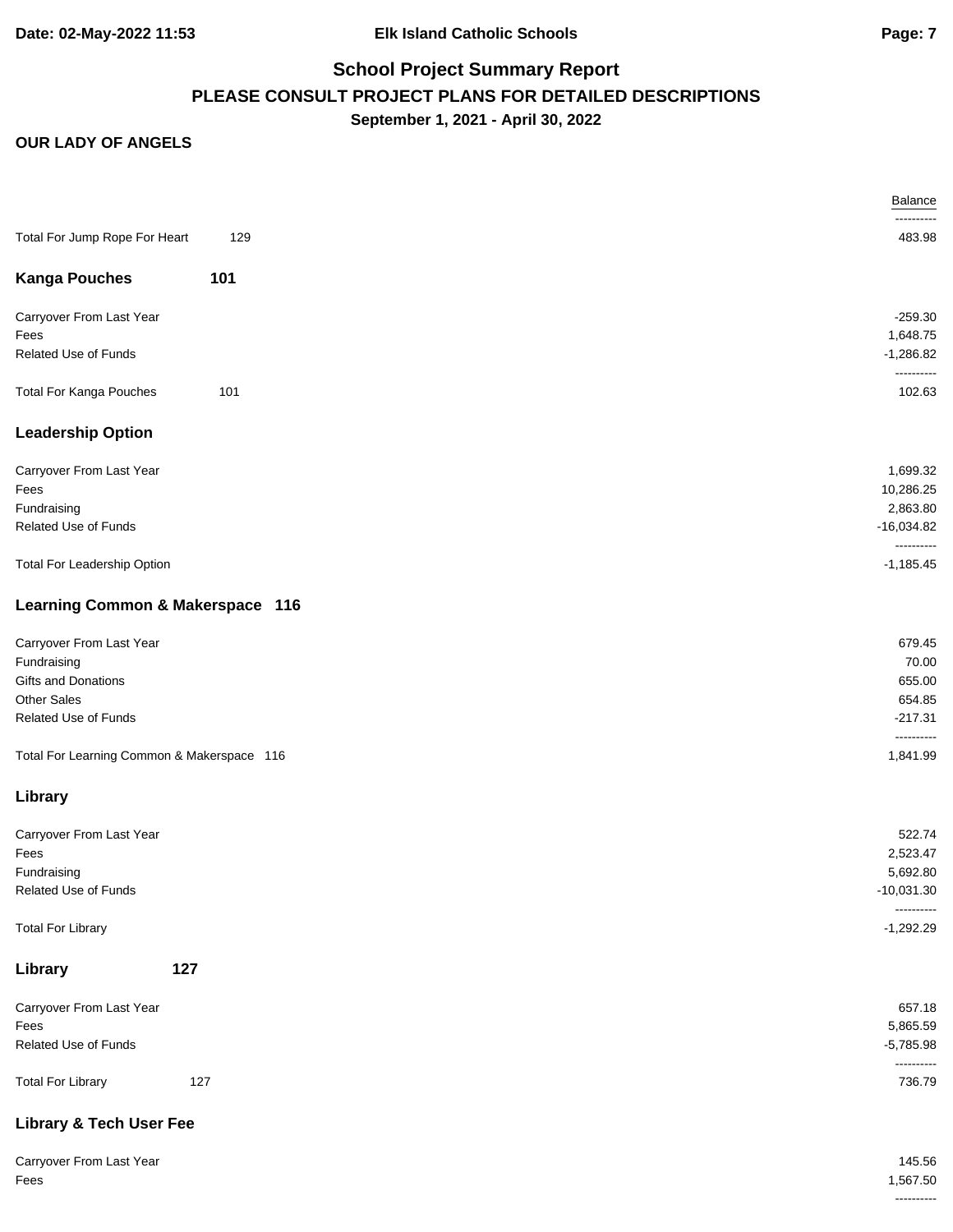|                                            |     | Balance                    |
|--------------------------------------------|-----|----------------------------|
|                                            |     |                            |
| Total For Jump Rope For Heart              | 129 | 483.98                     |
| <b>Kanga Pouches</b>                       | 101 |                            |
| Carryover From Last Year                   |     | $-259.30$                  |
| Fees                                       |     | 1,648.75                   |
| Related Use of Funds                       |     | $-1,286.82$<br>----------  |
| <b>Total For Kanga Pouches</b>             | 101 | 102.63                     |
| <b>Leadership Option</b>                   |     |                            |
| Carryover From Last Year                   |     | 1,699.32                   |
| Fees                                       |     | 10,286.25                  |
| Fundraising                                |     | 2,863.80                   |
| Related Use of Funds                       |     | $-16,034.82$               |
| Total For Leadership Option                |     | ----------<br>$-1,185.45$  |
| Learning Common & Makerspace 116           |     |                            |
| Carryover From Last Year                   |     | 679.45                     |
| Fundraising                                |     | 70.00                      |
| Gifts and Donations                        |     | 655.00                     |
| Other Sales                                |     | 654.85                     |
| Related Use of Funds                       |     | $-217.31$                  |
| Total For Learning Common & Makerspace 116 |     | ----------<br>1,841.99     |
| Library                                    |     |                            |
|                                            |     |                            |
| Carryover From Last Year                   |     | 522.74                     |
| Fees                                       |     | 2,523.47                   |
| Fundraising                                |     | 5,692.80                   |
| Related Use of Funds                       |     | $-10,031.30$<br>---------- |
| <b>Total For Library</b>                   |     | $-1,292.29$                |
| Library                                    | 127 |                            |
| Carryover From Last Year                   |     | 657.18                     |
| Fees                                       |     | 5,865.59                   |
| Related Use of Funds                       |     | $-5,785.98$                |
| <b>Total For Library</b>                   | 127 | 736.79                     |
| <b>Library &amp; Tech User Fee</b>         |     |                            |

| Carryover From Last Year | 145.56      |
|--------------------------|-------------|
| Fees                     | .567.50     |
|                          | ----------- |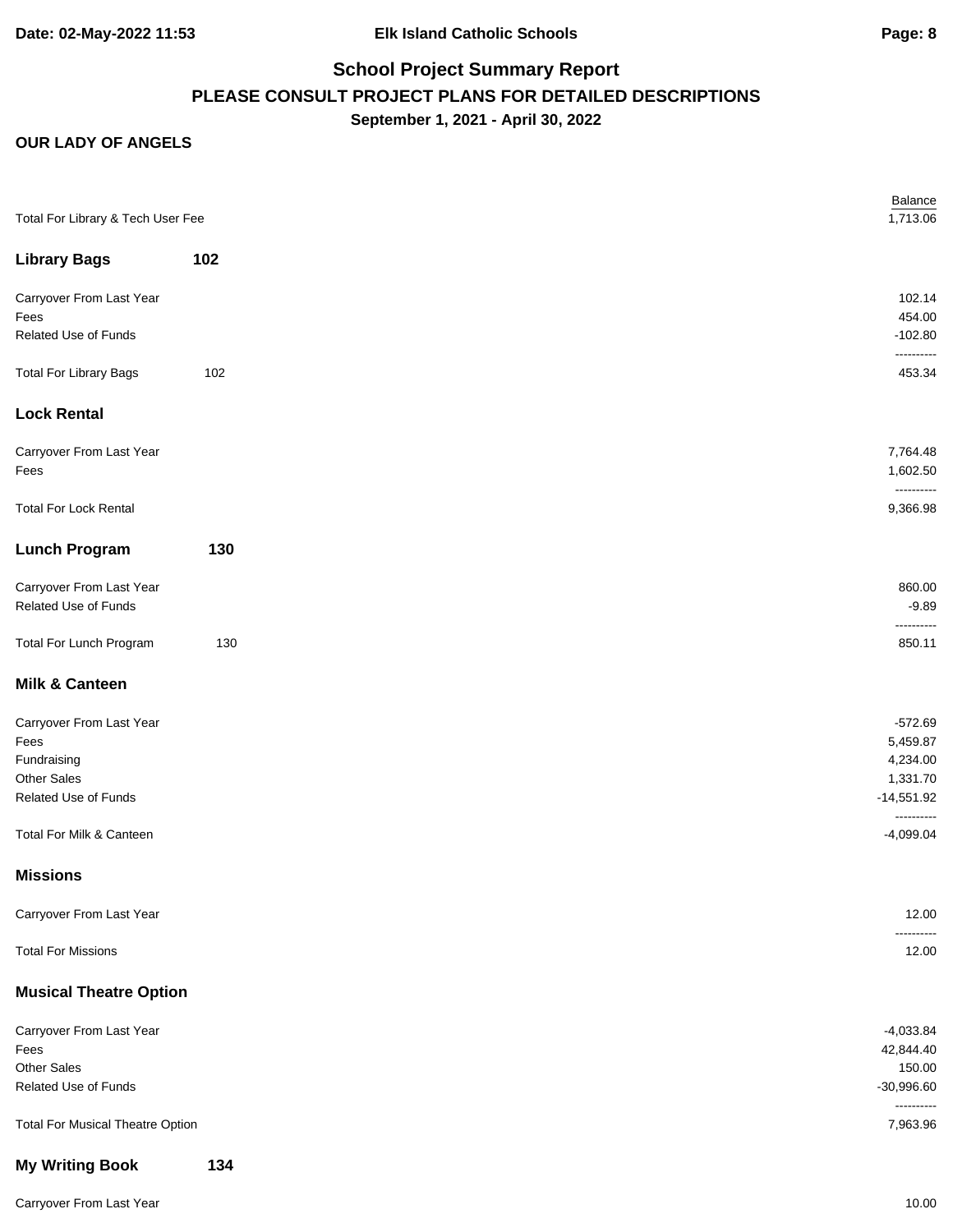#### **OUR LADY OF ANGELS**

| Total For Library & Tech User Fee       |     | Balance<br>1,713.06        |
|-----------------------------------------|-----|----------------------------|
|                                         |     |                            |
| <b>Library Bags</b>                     | 102 |                            |
| Carryover From Last Year                |     | 102.14                     |
| Fees                                    |     | 454.00                     |
| Related Use of Funds                    |     | $-102.80$<br>----------    |
| <b>Total For Library Bags</b>           | 102 | 453.34                     |
| <b>Lock Rental</b>                      |     |                            |
| Carryover From Last Year                |     | 7,764.48                   |
| Fees                                    |     | 1,602.50                   |
| <b>Total For Lock Rental</b>            |     | ----------<br>9,366.98     |
| <b>Lunch Program</b>                    | 130 |                            |
| Carryover From Last Year                |     | 860.00                     |
| Related Use of Funds                    |     | $-9.89$                    |
| Total For Lunch Program                 | 130 | ----------<br>850.11       |
| <b>Milk &amp; Canteen</b>               |     |                            |
| Carryover From Last Year                |     | $-572.69$                  |
| Fees                                    |     | 5,459.87                   |
| Fundraising                             |     | 4,234.00                   |
| <b>Other Sales</b>                      |     | 1,331.70                   |
| Related Use of Funds                    |     | $-14,551.92$<br>---------- |
| Total For Milk & Canteen                |     | $-4,099.04$                |
| <b>Missions</b>                         |     |                            |
| Carryover From Last Year                |     | 12.00<br>----------        |
| <b>Total For Missions</b>               |     | 12.00                      |
| <b>Musical Theatre Option</b>           |     |                            |
| Carryover From Last Year                |     | $-4,033.84$                |
| Fees                                    |     | 42,844.40                  |
| Other Sales                             |     | 150.00                     |
| Related Use of Funds                    |     | $-30,996.60$<br>---------- |
| <b>Total For Musical Theatre Option</b> |     | 7,963.96                   |
| <b>My Writing Book</b>                  | 134 |                            |

Carryover From Last Year 10.00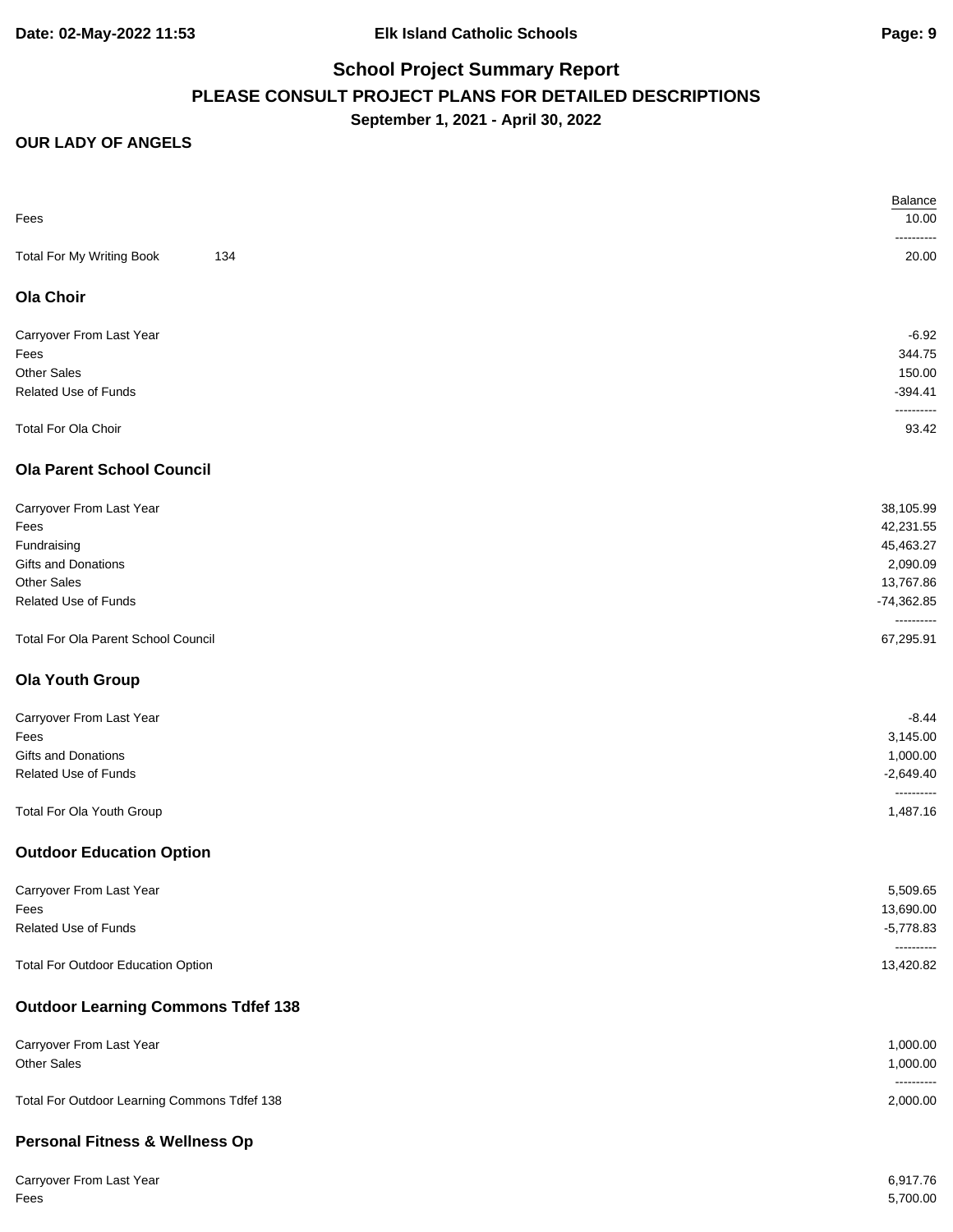| -------<br>134<br>Total For My Writing Book<br>20.00<br><b>Ola Choir</b><br>$-6.92$<br>Carryover From Last Year<br>Fees<br><b>Other Sales</b><br>Related Use of Funds<br>--------<br>Total For Ola Choir<br><b>Ola Parent School Council</b><br>Carryover From Last Year<br>Fees<br>45,463.27<br>Fundraising<br>Gifts and Donations<br>2,090.09<br><b>Other Sales</b><br>13,767.86<br>Related Use of Funds<br>$-74,362.85$<br>----------<br>Total For Ola Parent School Council<br><b>Ola Youth Group</b><br>Carryover From Last Year<br>Fees<br>Gifts and Donations<br>Related Use of Funds<br>----------<br>Total For Ola Youth Group<br><b>Outdoor Education Option</b><br>5,509.65<br>Carryover From Last Year<br>13,690.00<br>Fees<br>Related Use of Funds<br><b>Total For Outdoor Education Option</b><br><b>Outdoor Learning Commons Tdfef 138</b><br>Carryover From Last Year<br>1,000.00<br><b>Other Sales</b><br>----------<br>Total For Outdoor Learning Commons Tdfef 138<br><b>Personal Fitness &amp; Wellness Op</b> |      | Balance                 |
|------------------------------------------------------------------------------------------------------------------------------------------------------------------------------------------------------------------------------------------------------------------------------------------------------------------------------------------------------------------------------------------------------------------------------------------------------------------------------------------------------------------------------------------------------------------------------------------------------------------------------------------------------------------------------------------------------------------------------------------------------------------------------------------------------------------------------------------------------------------------------------------------------------------------------------------------------------------------------------------------------------------------------------|------|-------------------------|
|                                                                                                                                                                                                                                                                                                                                                                                                                                                                                                                                                                                                                                                                                                                                                                                                                                                                                                                                                                                                                                    | Fees | 10.00                   |
|                                                                                                                                                                                                                                                                                                                                                                                                                                                                                                                                                                                                                                                                                                                                                                                                                                                                                                                                                                                                                                    |      |                         |
|                                                                                                                                                                                                                                                                                                                                                                                                                                                                                                                                                                                                                                                                                                                                                                                                                                                                                                                                                                                                                                    |      |                         |
|                                                                                                                                                                                                                                                                                                                                                                                                                                                                                                                                                                                                                                                                                                                                                                                                                                                                                                                                                                                                                                    |      |                         |
|                                                                                                                                                                                                                                                                                                                                                                                                                                                                                                                                                                                                                                                                                                                                                                                                                                                                                                                                                                                                                                    |      |                         |
|                                                                                                                                                                                                                                                                                                                                                                                                                                                                                                                                                                                                                                                                                                                                                                                                                                                                                                                                                                                                                                    |      | 344.75                  |
|                                                                                                                                                                                                                                                                                                                                                                                                                                                                                                                                                                                                                                                                                                                                                                                                                                                                                                                                                                                                                                    |      | 150.00                  |
|                                                                                                                                                                                                                                                                                                                                                                                                                                                                                                                                                                                                                                                                                                                                                                                                                                                                                                                                                                                                                                    |      | $-394.41$               |
|                                                                                                                                                                                                                                                                                                                                                                                                                                                                                                                                                                                                                                                                                                                                                                                                                                                                                                                                                                                                                                    |      |                         |
|                                                                                                                                                                                                                                                                                                                                                                                                                                                                                                                                                                                                                                                                                                                                                                                                                                                                                                                                                                                                                                    |      | 93.42                   |
|                                                                                                                                                                                                                                                                                                                                                                                                                                                                                                                                                                                                                                                                                                                                                                                                                                                                                                                                                                                                                                    |      |                         |
|                                                                                                                                                                                                                                                                                                                                                                                                                                                                                                                                                                                                                                                                                                                                                                                                                                                                                                                                                                                                                                    |      | 38,105.99               |
|                                                                                                                                                                                                                                                                                                                                                                                                                                                                                                                                                                                                                                                                                                                                                                                                                                                                                                                                                                                                                                    |      | 42,231.55               |
|                                                                                                                                                                                                                                                                                                                                                                                                                                                                                                                                                                                                                                                                                                                                                                                                                                                                                                                                                                                                                                    |      |                         |
|                                                                                                                                                                                                                                                                                                                                                                                                                                                                                                                                                                                                                                                                                                                                                                                                                                                                                                                                                                                                                                    |      |                         |
|                                                                                                                                                                                                                                                                                                                                                                                                                                                                                                                                                                                                                                                                                                                                                                                                                                                                                                                                                                                                                                    |      |                         |
|                                                                                                                                                                                                                                                                                                                                                                                                                                                                                                                                                                                                                                                                                                                                                                                                                                                                                                                                                                                                                                    |      |                         |
|                                                                                                                                                                                                                                                                                                                                                                                                                                                                                                                                                                                                                                                                                                                                                                                                                                                                                                                                                                                                                                    |      | 67,295.91               |
|                                                                                                                                                                                                                                                                                                                                                                                                                                                                                                                                                                                                                                                                                                                                                                                                                                                                                                                                                                                                                                    |      |                         |
|                                                                                                                                                                                                                                                                                                                                                                                                                                                                                                                                                                                                                                                                                                                                                                                                                                                                                                                                                                                                                                    |      | $-8.44$                 |
|                                                                                                                                                                                                                                                                                                                                                                                                                                                                                                                                                                                                                                                                                                                                                                                                                                                                                                                                                                                                                                    |      | 3,145.00                |
|                                                                                                                                                                                                                                                                                                                                                                                                                                                                                                                                                                                                                                                                                                                                                                                                                                                                                                                                                                                                                                    |      | 1,000.00                |
|                                                                                                                                                                                                                                                                                                                                                                                                                                                                                                                                                                                                                                                                                                                                                                                                                                                                                                                                                                                                                                    |      | $-2,649.40$             |
|                                                                                                                                                                                                                                                                                                                                                                                                                                                                                                                                                                                                                                                                                                                                                                                                                                                                                                                                                                                                                                    |      | 1,487.16                |
|                                                                                                                                                                                                                                                                                                                                                                                                                                                                                                                                                                                                                                                                                                                                                                                                                                                                                                                                                                                                                                    |      |                         |
|                                                                                                                                                                                                                                                                                                                                                                                                                                                                                                                                                                                                                                                                                                                                                                                                                                                                                                                                                                                                                                    |      |                         |
|                                                                                                                                                                                                                                                                                                                                                                                                                                                                                                                                                                                                                                                                                                                                                                                                                                                                                                                                                                                                                                    |      |                         |
|                                                                                                                                                                                                                                                                                                                                                                                                                                                                                                                                                                                                                                                                                                                                                                                                                                                                                                                                                                                                                                    |      | $-5,778.83$             |
|                                                                                                                                                                                                                                                                                                                                                                                                                                                                                                                                                                                                                                                                                                                                                                                                                                                                                                                                                                                                                                    |      | ----------<br>13,420.82 |
|                                                                                                                                                                                                                                                                                                                                                                                                                                                                                                                                                                                                                                                                                                                                                                                                                                                                                                                                                                                                                                    |      |                         |
|                                                                                                                                                                                                                                                                                                                                                                                                                                                                                                                                                                                                                                                                                                                                                                                                                                                                                                                                                                                                                                    |      |                         |
|                                                                                                                                                                                                                                                                                                                                                                                                                                                                                                                                                                                                                                                                                                                                                                                                                                                                                                                                                                                                                                    |      | 1,000.00                |
|                                                                                                                                                                                                                                                                                                                                                                                                                                                                                                                                                                                                                                                                                                                                                                                                                                                                                                                                                                                                                                    |      | 2,000.00                |
|                                                                                                                                                                                                                                                                                                                                                                                                                                                                                                                                                                                                                                                                                                                                                                                                                                                                                                                                                                                                                                    |      |                         |

| Carryover From Last Year | 6,917.76 |
|--------------------------|----------|
| Fees                     | 5,700.00 |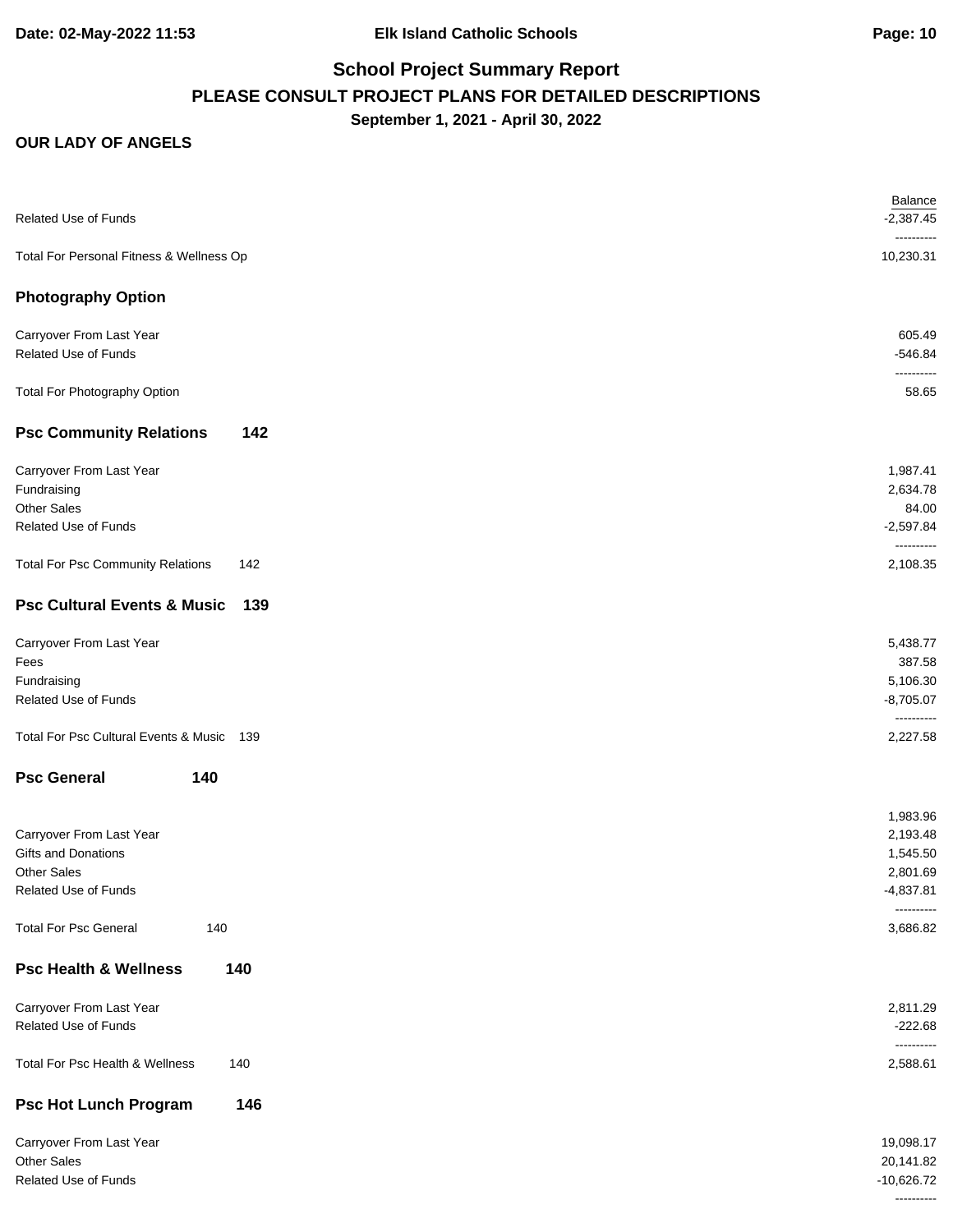| Related Use of Funds                                                                   | <b>Balance</b><br>$-2,387.45$                               |
|----------------------------------------------------------------------------------------|-------------------------------------------------------------|
| Total For Personal Fitness & Wellness Op                                               | ----------<br>10,230.31                                     |
| <b>Photography Option</b>                                                              |                                                             |
| Carryover From Last Year<br>Related Use of Funds                                       | 605.49<br>$-546.84$                                         |
| Total For Photography Option                                                           | ----------<br>58.65                                         |
| <b>Psc Community Relations</b><br>142                                                  |                                                             |
| Carryover From Last Year<br>Fundraising<br><b>Other Sales</b><br>Related Use of Funds  | 1,987.41<br>2,634.78<br>84.00<br>$-2,597.84$<br>----------  |
| <b>Total For Psc Community Relations</b><br>142                                        | 2,108.35                                                    |
| <b>Psc Cultural Events &amp; Music</b><br>139                                          |                                                             |
| Carryover From Last Year<br>Fees<br>Fundraising<br>Related Use of Funds                | 5,438.77<br>387.58<br>5,106.30<br>$-8,705.07$<br>---------- |
| Total For Psc Cultural Events & Music 139                                              | 2,227.58                                                    |
| <b>Psc General</b><br>140                                                              |                                                             |
| Carryover From Last Year<br>Gifts and Donations<br>Other Sales<br>Related Use of Funds | 1,983.96<br>2,193.48<br>1,545.50<br>2,801.69<br>$-4,837.81$ |
| <b>Total For Psc General</b><br>140                                                    | ----------<br>3,686.82                                      |
| <b>Psc Health &amp; Wellness</b><br>140                                                |                                                             |
| Carryover From Last Year<br>Related Use of Funds                                       | 2,811.29<br>$-222.68$                                       |
| Total For Psc Health & Wellness<br>140                                                 | ----------<br>2,588.61                                      |
| <b>Psc Hot Lunch Program</b><br>146                                                    |                                                             |
| Carryover From Last Year<br>Other Sales<br>Related Use of Funds                        | 19,098.17<br>20,141.82<br>$-10,626.72$<br>----------        |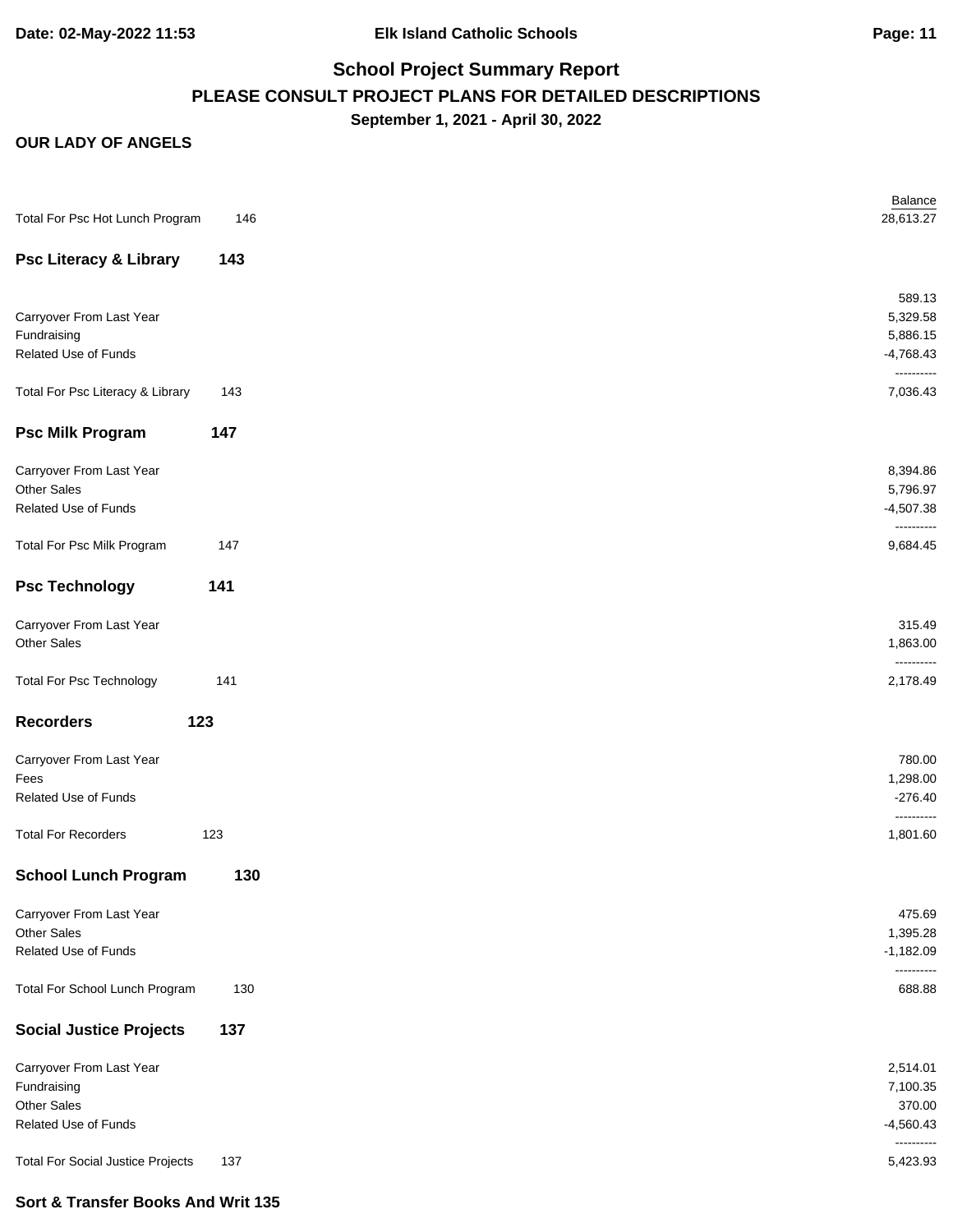### **OUR LADY OF ANGELS**

| Total For Psc Hot Lunch Program          | 146 | Balance<br>28,613.27      |
|------------------------------------------|-----|---------------------------|
| <b>Psc Literacy &amp; Library</b>        | 143 |                           |
|                                          |     | 589.13                    |
| Carryover From Last Year                 |     | 5,329.58                  |
| Fundraising                              |     | 5,886.15                  |
| Related Use of Funds                     |     | $-4,768.43$<br>---------- |
| Total For Psc Literacy & Library         | 143 | 7,036.43                  |
| <b>Psc Milk Program</b>                  | 147 |                           |
| Carryover From Last Year                 |     | 8,394.86                  |
| Other Sales                              |     | 5,796.97                  |
| Related Use of Funds                     |     | $-4,507.38$<br>---------- |
| Total For Psc Milk Program               | 147 | 9,684.45                  |
| <b>Psc Technology</b>                    | 141 |                           |
| Carryover From Last Year                 |     | 315.49                    |
| Other Sales                              |     | 1,863.00                  |
| <b>Total For Psc Technology</b>          | 141 | ----------<br>2,178.49    |
| <b>Recorders</b><br>123                  |     |                           |
| Carryover From Last Year                 |     | 780.00                    |
| Fees                                     |     | 1,298.00                  |
| Related Use of Funds                     |     | $-276.40$<br>----------   |
| <b>Total For Recorders</b>               | 123 | 1,801.60                  |
| <b>School Lunch Program</b>              | 130 |                           |
| Carryover From Last Year                 |     | 475.69                    |
| Other Sales                              |     | 1,395.28                  |
| Related Use of Funds                     |     | $-1,182.09$               |
| Total For School Lunch Program           | 130 | 688.88                    |
| <b>Social Justice Projects</b>           | 137 |                           |
| Carryover From Last Year                 |     | 2,514.01                  |
| Fundraising                              |     | 7,100.35                  |
| Other Sales                              |     | 370.00                    |
| Related Use of Funds                     |     | $-4,560.43$               |
| <b>Total For Social Justice Projects</b> | 137 | ----------<br>5,423.93    |

### **Sort & Transfer Books And Writ 135**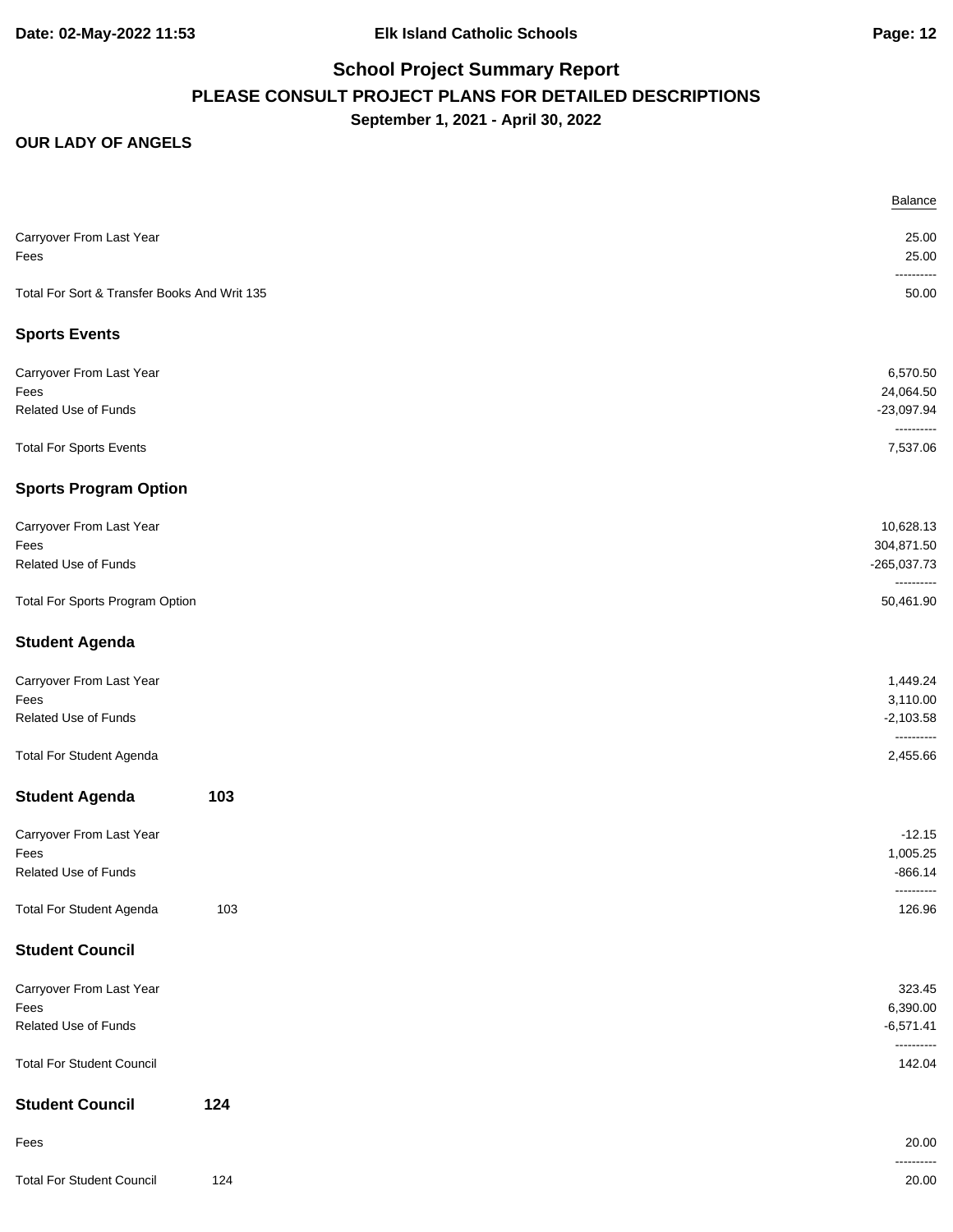|                                              |     | Balance                    |
|----------------------------------------------|-----|----------------------------|
| Carryover From Last Year                     |     | 25.00                      |
| Fees                                         |     | 25.00                      |
|                                              |     | -------                    |
| Total For Sort & Transfer Books And Writ 135 |     | 50.00                      |
| <b>Sports Events</b>                         |     |                            |
| Carryover From Last Year                     |     | 6,570.50                   |
| Fees                                         |     | 24,064.50                  |
| Related Use of Funds                         |     | $-23,097.94$<br>---------- |
| <b>Total For Sports Events</b>               |     | 7,537.06                   |
| <b>Sports Program Option</b>                 |     |                            |
| Carryover From Last Year                     |     | 10,628.13                  |
| Fees                                         |     | 304,871.50                 |
| Related Use of Funds                         |     | -265,037.73<br>----------  |
| Total For Sports Program Option              |     | 50,461.90                  |
| <b>Student Agenda</b>                        |     |                            |
| Carryover From Last Year                     |     | 1,449.24                   |
| Fees                                         |     | 3,110.00                   |
| Related Use of Funds                         |     | $-2,103.58$<br>----------  |
| <b>Total For Student Agenda</b>              |     | 2,455.66                   |
| <b>Student Agenda</b>                        | 103 |                            |
| Carryover From Last Year                     |     | $-12.15$                   |
| Fees                                         |     | 1,005.25                   |
| Related Use of Funds                         |     | $-866.14$                  |
| <b>Total For Student Agenda</b>              | 103 | 126.96                     |
| <b>Student Council</b>                       |     |                            |
| Carryover From Last Year                     |     | 323.45                     |
| Fees                                         |     | 6,390.00                   |
| Related Use of Funds                         |     | $-6,571.41$<br>----------  |
| <b>Total For Student Council</b>             |     | 142.04                     |
| <b>Student Council</b>                       | 124 |                            |
| Fees                                         |     | 20.00                      |
| <b>Total For Student Council</b>             | 124 | ------<br>20.00            |
|                                              |     |                            |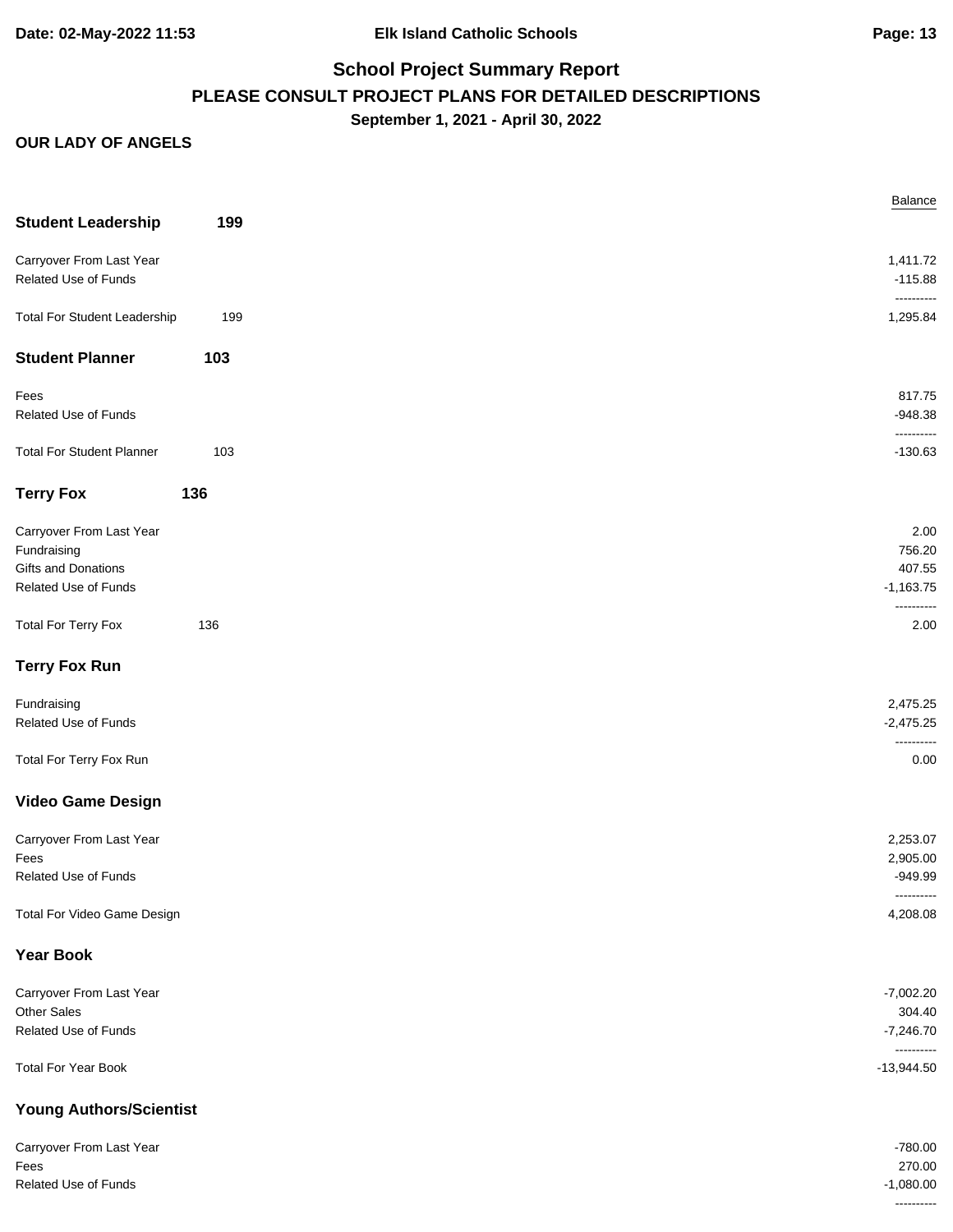| <b>Student Leadership</b>                   | 199 |  |
|---------------------------------------------|-----|--|
| Carryover From Last Year                    |     |  |
| Related Use of Funds                        |     |  |
| <b>Total For Student Leadership</b>         | 199 |  |
| <b>Student Planner</b>                      | 103 |  |
| Fees                                        |     |  |
| Related Use of Funds                        |     |  |
| <b>Total For Student Planner</b>            | 103 |  |
| <b>Terry Fox</b>                            | 136 |  |
| Carryover From Last Year                    |     |  |
| Fundraising                                 |     |  |
| Gifts and Donations<br>Related Use of Funds |     |  |
|                                             |     |  |
| <b>Total For Terry Fox</b>                  | 136 |  |
| <b>Terry Fox Run</b>                        |     |  |
| Fundraising                                 |     |  |
| Related Use of Funds                        |     |  |
| Total For Terry Fox Run                     |     |  |
| <b>Video Game Design</b>                    |     |  |
| Carryover From Last Year                    |     |  |
| Fees<br><b>Related Use of Funds</b>         |     |  |
|                                             |     |  |
| Total For Video Game Design                 |     |  |
| <b>Year Book</b>                            |     |  |
| Carryover From Last Year                    |     |  |
| Other Sales<br>Related Use of Funds         |     |  |
|                                             |     |  |
| <b>Total For Year Book</b>                  |     |  |
| <b>Young Authors/Scientist</b>              |     |  |
| Carryover From Last Year                    |     |  |
| Fees<br>Related Use of Funds                |     |  |
|                                             |     |  |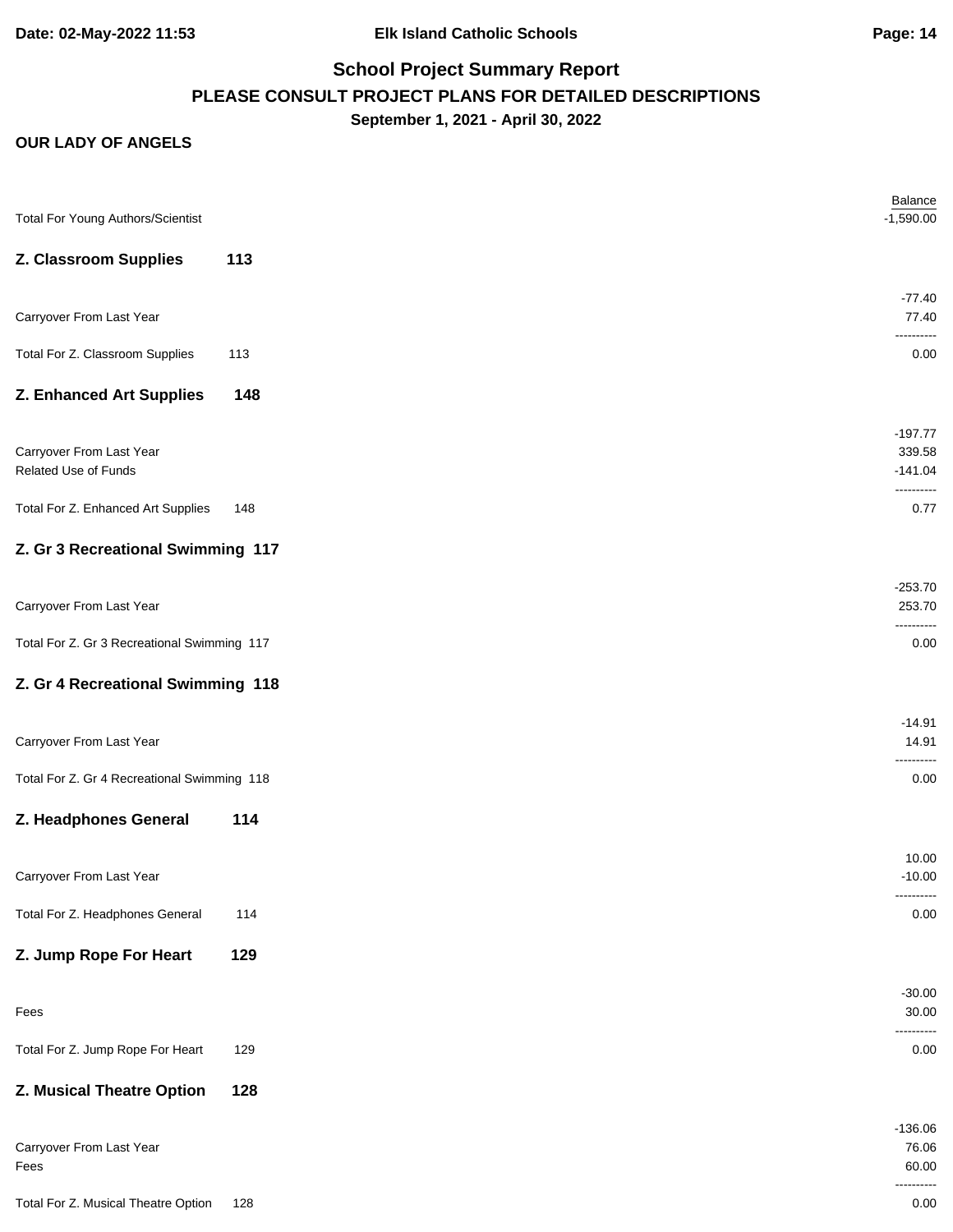**Date: 02-May-2022 11:53 Elk Island Catholic Schools Page: 14**

# **School Project Summary Report PLEASE CONSULT PROJECT PLANS FOR DETAILED DESCRIPTIONS September 1, 2021 - April 30, 2022**

| <b>Total For Young Authors/Scientist</b>    |     | Balance<br>$-1,590.00$  |
|---------------------------------------------|-----|-------------------------|
| Z. Classroom Supplies                       | 113 |                         |
|                                             |     | $-77.40$                |
| Carryover From Last Year                    |     | 77.40<br>----------     |
| Total For Z. Classroom Supplies             | 113 | 0.00                    |
| Z. Enhanced Art Supplies                    | 148 |                         |
|                                             |     | $-197.77$               |
| Carryover From Last Year                    |     | 339.58                  |
| Related Use of Funds                        |     | $-141.04$<br>---------- |
| Total For Z. Enhanced Art Supplies          | 148 | 0.77                    |
| Z. Gr 3 Recreational Swimming 117           |     |                         |
|                                             |     | $-253.70$               |
| Carryover From Last Year                    |     | 253.70                  |
| Total For Z. Gr 3 Recreational Swimming 117 |     | 0.00                    |
| Z. Gr 4 Recreational Swimming 118           |     |                         |
|                                             |     | $-14.91$                |
| Carryover From Last Year                    |     | 14.91                   |
| Total For Z. Gr 4 Recreational Swimming 118 |     | 0.00                    |
| Z. Headphones General                       | 114 |                         |
|                                             |     | 10.00                   |
| Carryover From Last Year                    |     | $-10.00$                |
| Total For Z. Headphones General             | 114 | ----------<br>0.00      |
| Z. Jump Rope For Heart                      | 129 |                         |
|                                             |     |                         |
| Fees                                        |     | $-30.00$<br>30.00       |
| Total For Z. Jump Rope For Heart            | 129 | 0.00                    |
| Z. Musical Theatre Option                   | 128 |                         |
|                                             |     |                         |
| Carryover From Last Year                    |     | $-136.06$<br>76.06      |
| Fees                                        |     | 60.00                   |
| Total For Z. Musical Theatre Option         | 128 | 0.00                    |